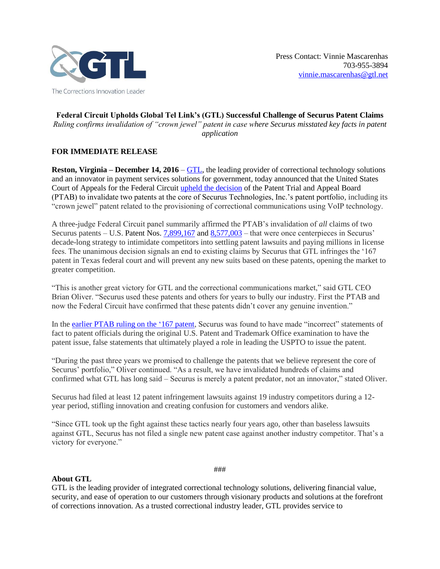

## **Federal Circuit Upholds Global Tel Link's (GTL) Successful Challenge of Securus Patent Claims** *Ruling confirms invalidation of "crown jewel" patent in case where Securus misstated key facts in patent application*

## **FOR IMMEDIATE RELEASE**

**Reston, Virginia – December 14, 2016** – [GTL,](http://www.gtl.net/) the leading provider of correctional technology solutions and an innovator in payment services solutions for government, today announced that the United States Court of Appeals for the Federal Circuit [upheld the decision](http://www.cafc.uscourts.gov/sites/default/files/opinions-orders/16-1372.Rule_36_Judgment.12-6-2016.1.PDF) of the Patent Trial and Appeal Board (PTAB) to invalidate two patents at the core of Securus Technologies, Inc.'s patent portfolio, including its "crown jewel" patent related to the provisioning of correctional communications using VoIP technology.

A three-judge Federal Circuit panel summarily affirmed the PTAB's invalidation of *all* claims of two Securus patents – U.S. Patent Nos. [7,899,167](http://patft.uspto.gov/netacgi/nph-Parser?Sect2=PTO1&Sect2=HITOFF&p=1&u=%2Fnetahtml%2FPTO%2Fsearch-bool.html&r=1&f=G&l=50&d=PALL&RefSrch=yes&Query=PN%2F7899167) and [8,577,003](http://patft.uspto.gov/netacgi/nph-Parser?Sect2=PTO1&Sect2=HITOFF&p=1&u=%2Fnetahtml%2FPTO%2Fsearch-bool.html&r=1&f=G&l=50&d=PALL&RefSrch=yes&Query=PN%2F8577003) – that were once centerpieces in Securus' decade-long strategy to intimidate competitors into settling patent lawsuits and paying millions in license fees. The unanimous decision signals an end to existing claims by Securus that GTL infringes the '167 patent in Texas federal court and will prevent any new suits based on these patents, opening the market to greater competition.

"This is another great victory for GTL and the correctional communications market," said GTL CEO Brian Oliver. "Securus used these patents and others for years to bully our industry. First the PTAB and now the Federal Circuit have confirmed that these patents didn't cover any genuine invention."

In the [earlier PTAB ruling on the '167 patent,](http://www.prnewswire.com/news-releases/gtl-successfully-challenges-securus-patent-claims-before-ptab-300142256.html) Securus was found to have made "incorrect" statements of fact to patent officials during the original U.S. Patent and Trademark Office examination to have the patent issue, false statements that ultimately played a role in leading the USPTO to issue the patent.

"During the past three years we promised to challenge the patents that we believe represent the core of Securus' portfolio," Oliver continued. "As a result, we have invalidated hundreds of claims and confirmed what GTL has long said – Securus is merely a patent predator, not an innovator," stated Oliver.

Securus had filed at least 12 patent infringement lawsuits against 19 industry competitors during a 12 year period, stifling innovation and creating confusion for customers and vendors alike.

"Since GTL took up the fight against these tactics nearly four years ago, other than baseless lawsuits against GTL, Securus has not filed a single new patent case against another industry competitor. That's a victory for everyone."

**About GTL**

GTL is the leading provider of integrated correctional technology solutions, delivering financial value, security, and ease of operation to our customers through visionary products and solutions at the forefront of corrections innovation. As a trusted correctional industry leader, GTL provides service to

###